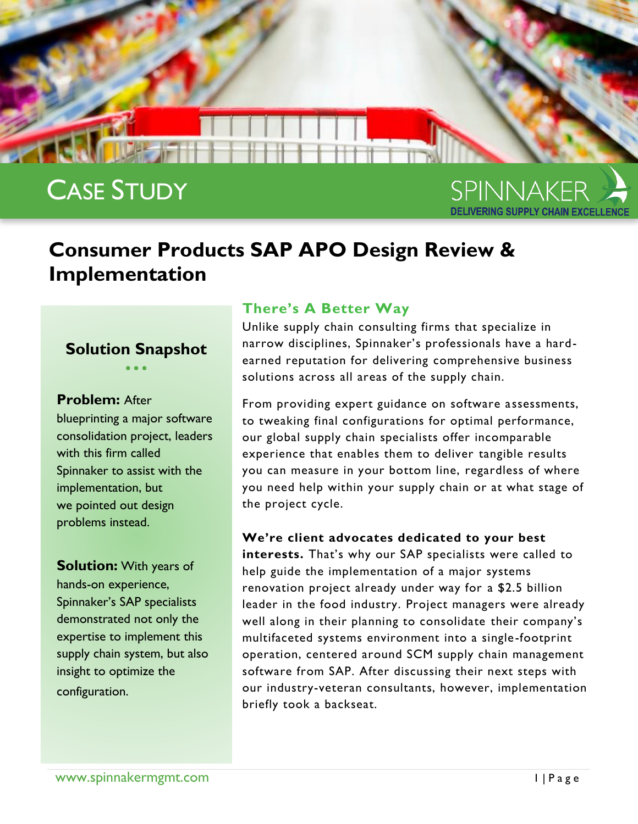

# CASE STUDY

SPINNAKER

# **Consumer Products SAP APO Design Review & Implementation**

#### **Solution Snapshot**  $\bullet$   $\bullet$   $\bullet$

**Problem:** After

blueprinting a major software consolidation project, leaders with this firm called Spinnaker to assist with the implementation, but we pointed out design problems instead.

**Solution:** With years of hands-on experience, Spinnaker's SAP specialists demonstrated not only the expertise to implement this supply chain system, but also insight to optimize the configuration.

#### **There's A Better Way**

Unlike supply chain consulting firms that specialize in narrow disciplines, Spinnaker's professionals have a hardearned reputation for delivering comprehensive business solutions across all areas of the supply chain.

From providing expert guidance on software assessments, to tweaking final configurations for optimal performance, our global supply chain specialists offer incomparable experience that enables them to deliver tangible results you can measure in your bottom line, regardless of where you need help within your supply chain or at what stage of the project cycle.

#### **We're client advocates dedicated to your best**

**interests.** That's why our SAP specialists were called to help guide the implementation of a major systems renovation project already under way for a \$2.5 billion leader in the food industry. Project managers were already well along in their planning to consolidate their company's multifaceted systems environment into a single-footprint operation, centered around SCM supply chain management software from SAP. After discussing their next steps with our industry-veteran consultants, however, implementation briefly took a backseat.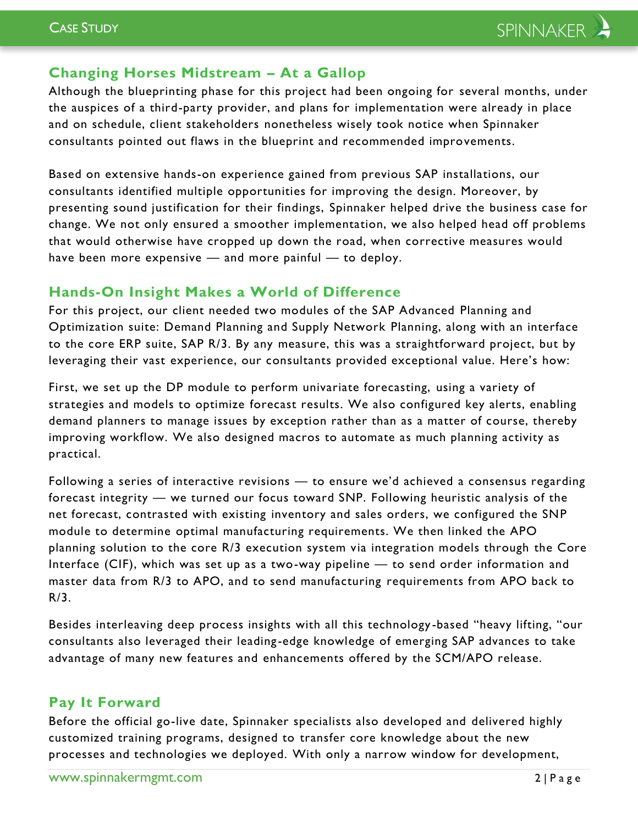# **Changing Horses Midstream – At a Gallop**

Although the blueprinting phase for this project had been ongoing for several months, under the auspices of a third-party provider, and plans for implementation were already in place and on schedule, client stakeholders nonetheless wisely took notice when Spinnaker consultants pointed out flaws in the blueprint and recommended improvements.

Based on extensive hands-on experience gained from previous SAP installations, our consultants identified multiple opportunities for improving the design. Moreover, by presenting sound justification for their findings, Spinnaker helped drive the business case for change. We not only ensured a smoother implementation, we also helped head off problems that would otherwise have cropped up down the road, when corrective measures would have been more expensive — and more painful — to deploy.

### **Hands-On Insight Makes a World of Difference**

For this project, our client needed two modules of the SAP Advanced Planning and Optimization suite: Demand Planning and Supply Network Planning, along with an interface to the core ERP suite, SAP R/3. By any measure, this was a straightforward project, but by leveraging their vast experience, our consultants provided exceptional value. Here's how:

First, we set up the DP module to perform univariate forecasting, using a variety of strategies and models to optimize forecast results. We also configured key alerts, enabling demand planners to manage issues by exception rather than as a matter of course, thereby improving workflow. We also designed macros to automate as much planning activity as practical.

Following a series of interactive revisions — to ensure we'd achieved a consensus regarding forecast integrity — we turned our focus toward SNP. Following heuristic analysis of the net forecast, contrasted with existing inventory and sales orders, we configured the SNP module to determine optimal manufacturing requirements. We then linked the APO planning solution to the core R/3 execution system via integration models through the Core Interface (CIF), which was set up as a two-way pipeline — to send order information and master data from R/3 to APO, and to send manufacturing requirements from APO back to R/3.

Besides interleaving deep process insights with all this technology -based "heavy lifting, "our consultants also leveraged their leading -edge knowledge of emerging SAP advances to take advantage of many new features and enhancements offered by the SCM/APO release.

## **Pay It Forward**

Before the official go-live date, Spinnaker specialists also developed and delivered highly customized training programs, designed to transfer core knowledge about the new processes and technologies we deployed. With only a narrow window for development,